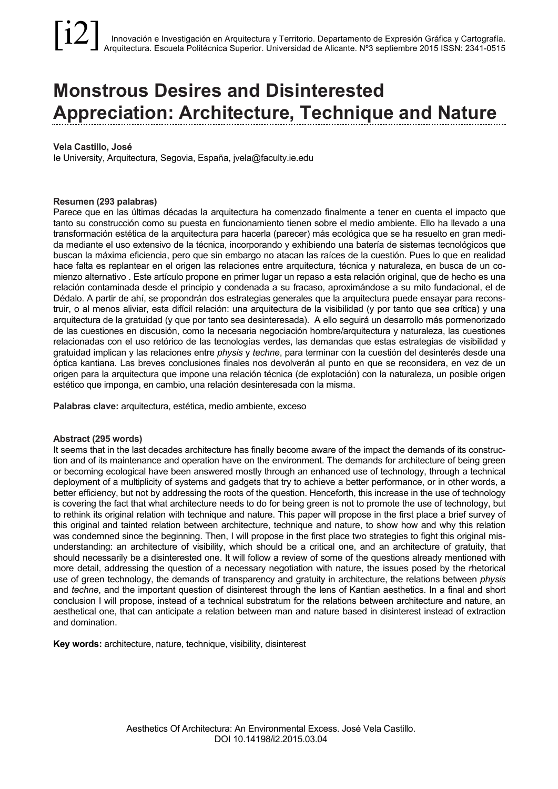# **Monstrous Desires and Disinterested Appreciation: Architecture, Technique and Nature**

#### **Vela Castillo, José**

Ie University, Arquitectura, Segovia, España, jvela@faculty.ie.edu

#### **Resumen (293 palabras)**

Parece que en las últimas décadas la arquitectura ha comenzado finalmente a tener en cuenta el impacto que tanto su construcción como su puesta en funcionamiento tienen sobre el medio ambiente. Ello ha llevado a una transformación estética de la arquitectura para hacerla (parecer) más ecológica que se ha resuelto en gran medida mediante el uso extensivo de la técnica, incorporando y exhibiendo una batería de sistemas tecnológicos que buscan la máxima eficiencia, pero que sin embargo no atacan las raíces de la cuestión. Pues lo que en realidad hace falta es replantear en el origen las relaciones entre arquitectura, técnica y naturaleza, en busca de un comienzo alternativo . Este artículo propone en primer lugar un repaso a esta relación original, que de hecho es una relación contaminada desde el principio y condenada a su fracaso, aproximándose a su mito fundacional, el de Dédalo. A partir de ahí, se propondrán dos estrategias generales que la arquitectura puede ensayar para reconstruir, o al menos aliviar, esta difícil relación: una arquitectura de la visibilidad (y por tanto que sea crítica) y una arquitectura de la gratuidad (y que por tanto sea desinteresada). A ello seguirá un desarrollo más pormenorizado de las cuestiones en discusión, como la necesaria negociación hombre/arquitectura y naturaleza, las cuestiones relacionadas con el uso retórico de las tecnologías verdes, las demandas que estas estrategias de visibilidad y gratuidad implican y las relaciones entre *physis* y *techne*, para terminar con la cuestión del desinterés desde una óptica kantiana. Las breves conclusiones finales nos devolverán al punto en que se reconsidera, en vez de un origen para la arquitectura que impone una relación técnica (de explotación) con la naturaleza, un posible origen estético que imponga, en cambio, una relación desinteresada con la misma.

**Palabras clave:** arquitectura, estética, medio ambiente, exceso

#### **Abstract (295 words)**

It seems that in the last decades architecture has finally become aware of the impact the demands of its construction and of its maintenance and operation have on the environment. The demands for architecture of being green or becoming ecological have been answered mostly through an enhanced use of technology, through a technical deployment of a multiplicity of systems and gadgets that try to achieve a better performance, or in other words, a better efficiency, but not by addressing the roots of the question. Henceforth, this increase in the use of technology is covering the fact that what architecture needs to do for being green is not to promote the use of technology, but to rethink its original relation with technique and nature. This paper will propose in the first place a brief survey of this original and tainted relation between architecture, technique and nature, to show how and why this relation was condemned since the beginning. Then, I will propose in the first place two strategies to fight this original misunderstanding: an architecture of visibility, which should be a critical one, and an architecture of gratuity, that should necessarily be a disinterested one. It will follow a review of some of the questions already mentioned with more detail, addressing the question of a necessary negotiation with nature, the issues posed by the rhetorical use of green technology, the demands of transparency and gratuity in architecture, the relations between *physis* and *techne*, and the important question of disinterest through the lens of Kantian aesthetics. In a final and short conclusion I will propose, instead of a technical substratum for the relations between architecture and nature, an aesthetical one, that can anticipate a relation between man and nature based in disinterest instead of extraction and domination.

**Key words:** architecture, nature, technique, visibility, disinterest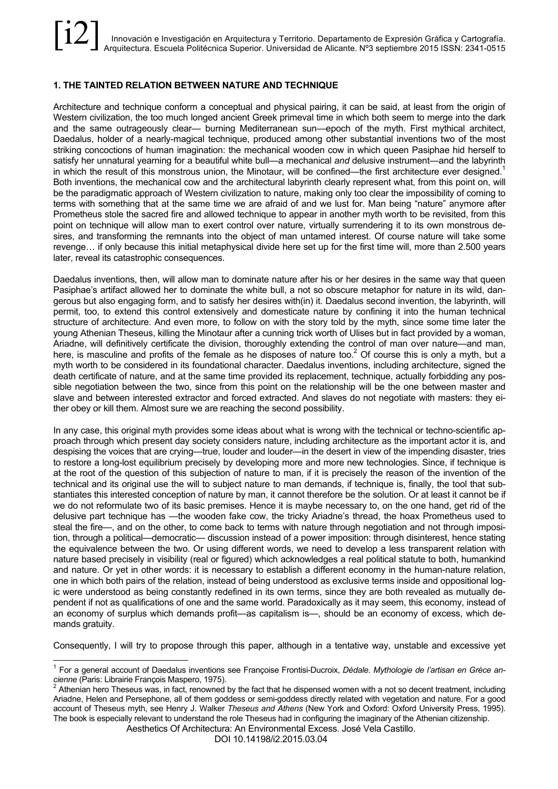# **1. THE TAINTED RELATION BETWEEN NATURE AND TECHNIQUE**

Architecture and technique conform a conceptual and physical pairing, it can be said, at least from the origin of Western civilization, the too much longed ancient Greek primeval time in which both seem to merge into the dark and the same outrageously clear— burning Mediterranean sun—epoch of the myth. First mythical architect, Daedalus, holder of a nearly-magical technique, produced among other substantial inventions two of the most striking concoctions of human imagination: the mechanical wooden cow in which queen Pasiphae hid herself to satisfy her unnatural yearning for a beautiful white bull—a mechanical *and* delusive instrument—and the labyrinth in which the result of this monstrous union, the Minotaur, will be confined—the first architecture ever designed.<sup>1</sup> Both inventions, the mechanical cow and the architectural labyrinth clearly represent what, from this point on, will be the paradigmatic approach of Western civilization to nature, making only too clear the impossibility of coming to terms with something that at the same time we are afraid of and we lust for. Man being "nature" anymore after Prometheus stole the sacred fire and allowed technique to appear in another myth worth to be revisited, from this point on technique will allow man to exert control over nature, virtually surrendering it to its own monstrous desires, and transforming the remnants into the object of man untamed interest. Of course nature will take some revenge… if only because this initial metaphysical divide here set up for the first time will, more than 2.500 years later, reveal its catastrophic consequences.

Daedalus inventions, then, will allow man to dominate nature after his or her desires in the same way that queen Pasiphae's artifact allowed her to dominate the white bull, a not so obscure metaphor for nature in its wild, dangerous but also engaging form, and to satisfy her desires with(in) it. Daedalus second invention, the labyrinth, will permit, too, to extend this control extensively and domesticate nature by confining it into the human technical structure of architecture. And even more, to follow on with the story told by the myth, since some time later the young Athenian Theseus, killing the Minotaur after a cunning trick worth of Ulises but in fact provided by a woman, Ariadne, will definitively certificate the division, thoroughly extending the control of man over nature—and man, here, is masculine and profits of the female as he disposes of nature too.<sup>2</sup> Of course this is only a myth, but a myth worth to be considered in its foundational character. Daedalus inventions, including architecture, signed the death certificate of nature, and at the same time provided its replacement, technique, actually forbidding any possible negotiation between the two, since from this point on the relationship will be the one between master and slave and between interested extractor and forced extracted. And slaves do not negotiate with masters: they either obey or kill them. Almost sure we are reaching the second possibility.

In any case, this original myth provides some ideas about what is wrong with the technical or techno-scientific approach through which present day society considers nature, including architecture as the important actor it is, and despising the voices that are crying—true, louder and louder—in the desert in view of the impending disaster, tries to restore a long-lost equilibrium precisely by developing more and more new technologies. Since, if technique is at the root of the question of this subjection of nature to man, if it is precisely the reason of the invention of the technical and its original use the will to subject nature to man demands, if technique is, finally, the tool that substantiates this interested conception of nature by man, it cannot therefore be the solution. Or at least it cannot be if we do not reformulate two of its basic premises. Hence it is maybe necessary to, on the one hand, get rid of the delusive part technique has —the wooden fake cow, the tricky Ariadne's thread, the hoax Prometheus used to steal the fire—, and on the other, to come back to terms with nature through negotiation and not through imposition, through a political—democratic— discussion instead of a power imposition: through disinterest, hence stating the equivalence between the two. Or using different words, we need to develop a less transparent relation with nature based precisely in visibility (real or figured) which acknowledges a real political statute to both, humankind and nature. Or yet in other words: it is necessary to establish a different economy in the human-nature relation, one in which both pairs of the relation, instead of being understood as exclusive terms inside and oppositional logic were understood as being constantly redefined in its own terms, since they are both revealed as mutually dependent if not as qualifications of one and the same world. Paradoxically as it may seem, this economy, instead of an economy of surplus which demands profit—as capitalism is—, should be an economy of excess, which demands gratuity.

Consequently, I will try to propose through this paper, although in a tentative way, unstable and excessive yet

Aesthetics Of Architectura: An Environmental Excess. José Vela Castillo.

DOI 10.14198/i2.2015.03.04

 <sup>1</sup> For a general account of Daedalus inventions see Françoise Frontisi-Ducroix, *Dédale. Mythologie de l'artisan en Grèce an-*

Athenian hero Theseus was, in fact, renowned by the fact that he dispensed women with a not so decent treatment, including Ariadne, Helen and Persephone, all of them goddess or semi-goddess directly related with vegetation and nature. For a good account of Theseus myth, see Henry J. Walker *Theseus and Athens* (New York and Oxford: Oxford University Press, 1995). The book is especially relevant to understand the role Theseus had in configuring the imaginary of the Athenian citizenship.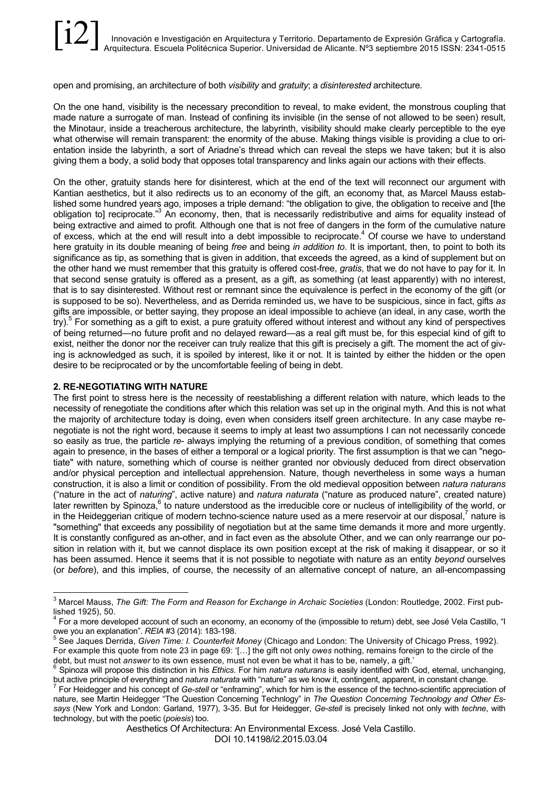open and promising, an architecture of both *visibility* and *gratuity*; a *disinterested* architecture*.*

On the one hand, visibility is the necessary precondition to reveal, to make evident, the monstrous coupling that made nature a surrogate of man. Instead of confining its invisible (in the sense of not allowed to be seen) result, the Minotaur, inside a treacherous architecture, the labyrinth, visibility should make clearly perceptible to the eye what otherwise will remain transparent: the enormity of the abuse. Making things visible is providing a clue to orientation inside the labyrinth, a sort of Ariadne's thread which can reveal the steps we have taken; but it is also giving them a body, a solid body that opposes total transparency and links again our actions with their effects.

On the other, gratuity stands here for disinterest, which at the end of the text will reconnect our argument with Kantian aesthetics, but it also redirects us to an economy of the gift, an economy that, as Marcel Mauss established some hundred years ago, imposes a triple demand: "the obligation to give, the obligation to receive and [the obligation to] reciprocate."3 An economy, then, that is necessarily redistributive and aims for equality instead of being extractive and aimed to profit. Although one that is not free of dangers in the form of the cumulative nature of excess, which at the end will result into a debt impossible to reciprocate.<sup>4</sup> Of course we have to understand here gratuity in its double meaning of being *free* and being *in addition to*. It is important, then, to point to both its significance as tip, as something that is given in addition, that exceeds the agreed, as a kind of supplement but on the other hand we must remember that this gratuity is offered cost-free, *gratis*, that we do not have to pay for it. In that second sense gratuity is offered as a present, as a gift, as something (at least apparently) with no interest, that is to say disinterested. Without rest or remnant since the equivalence is perfect in the economy of the gift (or is supposed to be so). Nevertheless, and as Derrida reminded us, we have to be suspicious, since in fact, gifts *as* gifts are impossible, or better saying, they propose an ideal impossible to achieve (an ideal, in any case, worth the try). <sup>5</sup> For something as a gift to exist, a pure gratuity offered without interest and without any kind of perspectives of being returned—no future profit and no delayed reward—as a real gift must be, for this especial kind of gift to exist, neither the donor nor the receiver can truly realize that this gift is precisely a gift. The moment the act of giving is acknowledged as such, it is spoiled by interest, like it or not. It is tainted by either the hidden or the open desire to be reciprocated or by the uncomfortable feeling of being in debt.

#### **2. RE-NEGOTIATING WITH NATURE**

The first point to stress here is the necessity of reestablishing a different relation with nature, which leads to the necessity of renegotiate the conditions after which this relation was set up in the original myth. And this is not what the majority of architecture today is doing, even when considers itself green architecture. In any case maybe renegotiate is not the right word, because it seems to imply at least two assumptions I can not necessarily concede so easily as true, the particle *re*- always implying the returning of a previous condition, of something that comes again to presence, in the bases of either a temporal or a logical priority. The first assumption is that we can "negotiate" with nature, something which of course is neither granted nor obviously deduced from direct observation and/or physical perception and intellectual apprehension. Nature, though nevertheless in some ways a human construction, it is also a limit or condition of possibility. From the old medieval opposition between *natura naturans* ("nature in the act of *naturing*", active nature) and *natura naturata* ("nature as produced nature", created nature) later rewritten by Spinoza, $6$  to nature understood as the irreducible core or nucleus of intelligibility of the world, or in the Heideggerian critique of modern techno-science nature used as a mere reservoir at our disposal, $^7$  nature is "something" that exceeds any possibility of negotiation but at the same time demands it more and more urgently. It is constantly configured as an-other, and in fact even as the absolute Other, and we can only rearrange our position in relation with it, but we cannot displace its own position except at the risk of making it disappear, or so it has been assumed. Hence it seems that it is not possible to negotiate with nature as an entity *beyond* ourselves (or *before*), and this implies, of course, the necessity of an alternative concept of nature, an all-encompassing

 <sup>3</sup> Marcel Mauss, *The Gift: The Form and Reason for Exchange in Archaic Societies* (London: Routledge, 2002. First published 1925), 50.<br><sup>4</sup> For a more developed account of such an economy, an economy of the (impossible to return) debt, see José Vela Castillo, "I

owe you an explanation". *REIA* #3 (2014): 183-198.<br><sup>5</sup> See Jaques Derrida, *Given Time: I. Counterfeit Money* (Chicago and London: The University of Chicago Press, 1992).

For example this quote from note 23 in page 69: '[…] the gift not only *owes* nothing, remains foreign to the circle of the

Spinoza will propose this distinction in his Ethics. For him natura naturans is easily identified with God, eternal, unchanging,

but active principle of everything and *natura naturata* with "nature" as we know it, contingent, apparent, in constant change.<br><sup>7</sup> For Heidegger and his concept of Ge-stell or "enframing", which for him is the essence of nature, see Martin Heidegger "The Question Concerning Technlogy" in *The Question Concerning Technology and Other Essays* (New York and London: Garland, 1977), 3-35. But for Heidegger, *Ge-stell* is precisely linked not only with *techne*, with technology, but with the poetic (*poiesis*) too.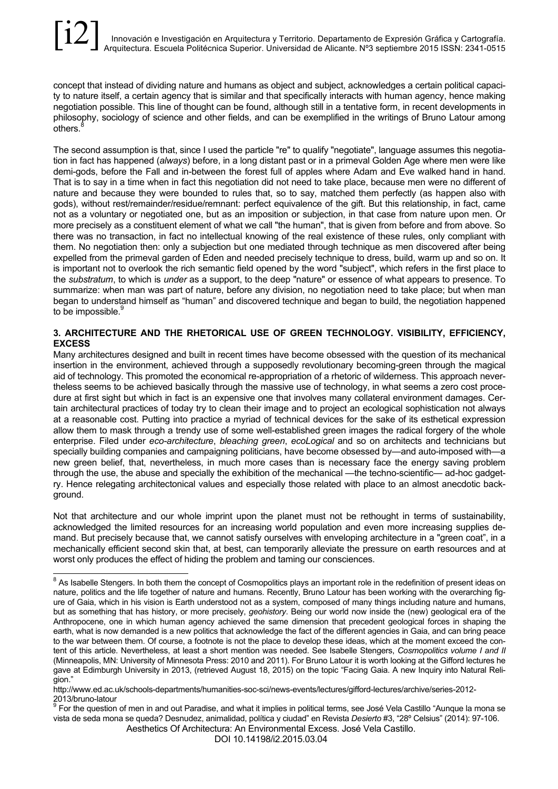concept that instead of dividing nature and humans as object and subject, acknowledges a certain political capacity to nature itself, a certain agency that is similar and that specifically interacts with human agency, hence making negotiation possible. This line of thought can be found, although still in a tentative form, in recent developments in philosophy, sociology of science and other fields, and can be exemplified in the writings of Bruno Latour among others.

The second assumption is that, since I used the particle "re" to qualify "negotiate", language assumes this negotiation in fact has happened (*always*) before, in a long distant past or in a primeval Golden Age where men were like demi-gods, before the Fall and in-between the forest full of apples where Adam and Eve walked hand in hand. That is to say in a time when in fact this negotiation did not need to take place, because men were no different of nature and because they were bounded to rules that, so to say, matched them perfectly (as happen also with gods), without rest/remainder/residue/remnant: perfect equivalence of the gift. But this relationship, in fact, came not as a voluntary or negotiated one, but as an imposition or subjection, in that case from nature upon men. Or more precisely as a constituent element of what we call "the human", that is given from before and from above. So there was no transaction, in fact no intellectual knowing of the real existence of these rules, only compliant with them. No negotiation then: only a subjection but one mediated through technique as men discovered after being expelled from the primeval garden of Eden and needed precisely technique to dress, build, warm up and so on. It is important not to overlook the rich semantic field opened by the word "subject", which refers in the first place to the *substratum*, to which is *under* as a support, to the deep "nature" or essence of what appears to presence. To summarize: when man was part of nature, before any division, no negotiation need to take place; but when man began to understand himself as "human" and discovered technique and began to build, the negotiation happened to be impossible. $\frac{6}{5}$ 

# **3. ARCHITECTURE AND THE RHETORICAL USE OF GREEN TECHNOLOGY. VISIBILITY, EFFICIENCY, EXCESS**

Many architectures designed and built in recent times have become obsessed with the question of its mechanical insertion in the environment, achieved through a supposedly revolutionary becoming-green through the magical aid of technology. This promoted the economical re-appropriation of a rhetoric of wilderness. This approach nevertheless seems to be achieved basically through the massive use of technology, in what seems a zero cost procedure at first sight but which in fact is an expensive one that involves many collateral environment damages. Certain architectural practices of today try to clean their image and to project an ecological sophistication not always at a reasonable cost. Putting into practice a myriad of technical devices for the sake of its esthetical expression allow them to mask through a trendy use of some well-established green images the radical forgery of the whole enterprise. Filed under *eco-architecture*, *bleaching green*, *ecoLogical* and so on architects and technicians but specially building companies and campaigning politicians, have become obsessed by—and auto-imposed with—a new green belief, that, nevertheless, in much more cases than is necessary face the energy saving problem through the use, the abuse and specially the exhibition of the mechanical —the techno-scientific— ad-hoc gadgetry. Hence relegating architectonical values and especially those related with place to an almost anecdotic background.

Not that architecture and our whole imprint upon the planet must not be rethought in terms of sustainability, acknowledged the limited resources for an increasing world population and even more increasing supplies demand. But precisely because that, we cannot satisfy ourselves with enveloping architecture in a "green coat", in a mechanically efficient second skin that, at best, can temporarily alleviate the pressure on earth resources and at worst only produces the effect of hiding the problem and taming our consciences.

Aesthetics Of Architectura: An Environmental Excess. José Vela Castillo.

<sup>&</sup>lt;sup>8</sup> As Isabelle Stengers. In both them the concept of Cosmopolitics plays an important role in the redefinition of present ideas on nature, politics and the life together of nature and humans. Recently, Bruno Latour has been working with the overarching figure of Gaia, which in his vision is Earth understood not as a system, composed of many things including nature and humans, but as something that has history, or more precisely, *geohistory*. Being our world now inside the (new) geological era of the Anthropocene, one in which human agency achieved the same dimension that precedent geological forces in shaping the earth, what is now demanded is a new politics that acknowledge the fact of the different agencies in Gaia, and can bring peace to the war between them. Of course, a footnote is not the place to develop these ideas, which at the moment exceed the content of this article. Nevertheless, at least a short mention was needed. See Isabelle Stengers, *Cosmopolitics volume I and II*  (Minneapolis, MN: University of Minnesota Press: 2010 and 2011). For Bruno Latour it is worth looking at the Gifford lectures he gave at Edimburgh University in 2013, (retrieved August 18, 2015) on the topic "Facing Gaia. A new Inquiry into Natural Religion."

http://www.ed.ac.uk/schools-departments/humanities-soc-sci/news-events/lectures/gifford-lectures/archive/series-2012-

<sup>2013/</sup>bruno-latour<br><sup>9</sup> For the question of men in and out Paradise, and what it implies in political terms, see José Vela Castillo "Aunque la mona se vista de seda mona se queda? Desnudez, animalidad, política y ciudad" en Revista *Desierto* #3, "28º Celsius" (2014): 97-106.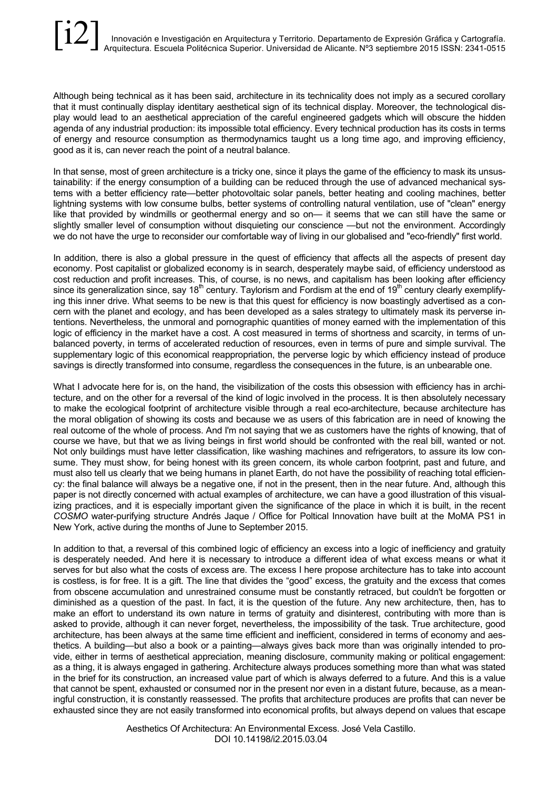Although being technical as it has been said, architecture in its technicality does not imply as a secured corollary that it must continually display identitary aesthetical sign of its technical display. Moreover, the technological display would lead to an aesthetical appreciation of the careful engineered gadgets which will obscure the hidden agenda of any industrial production: its impossible total efficiency. Every technical production has its costs in terms of energy and resource consumption as thermodynamics taught us a long time ago, and improving efficiency, good as it is, can never reach the point of a neutral balance.

In that sense, most of green architecture is a tricky one, since it plays the game of the efficiency to mask its unsustainability: if the energy consumption of a building can be reduced through the use of advanced mechanical systems with a better efficiency rate—better photovoltaic solar panels, better heating and cooling machines, better lightning systems with low consume bulbs, better systems of controlling natural ventilation, use of "clean" energy like that provided by windmills or geothermal energy and so on— it seems that we can still have the same or slightly smaller level of consumption without disquieting our conscience —but not the environment. Accordingly we do not have the urge to reconsider our comfortable way of living in our globalised and "eco-friendly" first world.

In addition, there is also a global pressure in the quest of efficiency that affects all the aspects of present day economy. Post capitalist or globalized economy is in search, desperately maybe said, of efficiency understood as cost reduction and profit increases. This, of course, is no news, and capitalism has been looking after efficiency since its generalization since, say  $18<sup>th</sup>$  century. Taylorism and Fordism at the end of  $19<sup>th</sup>$  century clearly exemplifying this inner drive. What seems to be new is that this quest for efficiency is now boastingly advertised as a concern with the planet and ecology, and has been developed as a sales strategy to ultimately mask its perverse intentions. Nevertheless, the unmoral and pornographic quantities of money earned with the implementation of this logic of efficiency in the market have a cost. A cost measured in terms of shortness and scarcity, in terms of unbalanced poverty, in terms of accelerated reduction of resources, even in terms of pure and simple survival. The supplementary logic of this economical reappropriation, the perverse logic by which efficiency instead of produce savings is directly transformed into consume, regardless the consequences in the future, is an unbearable one.

What I advocate here for is, on the hand, the visibilization of the costs this obsession with efficiency has in architecture, and on the other for a reversal of the kind of logic involved in the process. It is then absolutely necessary to make the ecological footprint of architecture visible through a real eco-architecture, because architecture has the moral obligation of showing its costs and because we as users of this fabrication are in need of knowing the real outcome of the whole of process. And I'm not saying that we as customers have the rights of knowing, that of course we have, but that we as living beings in first world should be confronted with the real bill, wanted or not. Not only buildings must have letter classification, like washing machines and refrigerators, to assure its low consume. They must show, for being honest with its green concern, its whole carbon footprint, past and future, and must also tell us clearly that we being humans in planet Earth, do not have the possibility of reaching total efficiency: the final balance will always be a negative one, if not in the present, then in the near future. And, although this paper is not directly concerned with actual examples of architecture, we can have a good illustration of this visualizing practices, and it is especially important given the significance of the place in which it is built, in the recent *COSMO* water-purifying structure Andrés Jaque / Office for Poltical Innovation have built at the MoMA PS1 in New York, active during the months of June to September 2015.

In addition to that, a reversal of this combined logic of efficiency an excess into a logic of inefficiency and gratuity is desperately needed. And here it is necessary to introduce a different idea of what excess means or what it serves for but also what the costs of excess are. The excess I here propose architecture has to take into account is costless, is for free. It is a gift. The line that divides the "good" excess, the gratuity and the excess that comes from obscene accumulation and unrestrained consume must be constantly retraced, but couldn't be forgotten or diminished as a question of the past. In fact, it is the question of the future. Any new architecture, then, has to make an effort to understand its own nature in terms of gratuity and disinterest, contributing with more than is asked to provide, although it can never forget, nevertheless, the impossibility of the task. True architecture, good architecture, has been always at the same time efficient and inefficient, considered in terms of economy and aesthetics. A building—but also a book or a painting—always gives back more than was originally intended to provide, either in terms of aesthetical appreciation, meaning disclosure, community making or political engagement: as a thing, it is always engaged in gathering. Architecture always produces something more than what was stated in the brief for its construction, an increased value part of which is always deferred to a future. And this is a value that cannot be spent, exhausted or consumed nor in the present nor even in a distant future, because, as a meaningful construction, it is constantly reassessed. The profits that architecture produces are profits that can never be exhausted since they are not easily transformed into economical profits, but always depend on values that escape

> Aesthetics Of Architectura: An Environmental Excess. José Vela Castillo. DOI 10.14198/i2.2015.03.04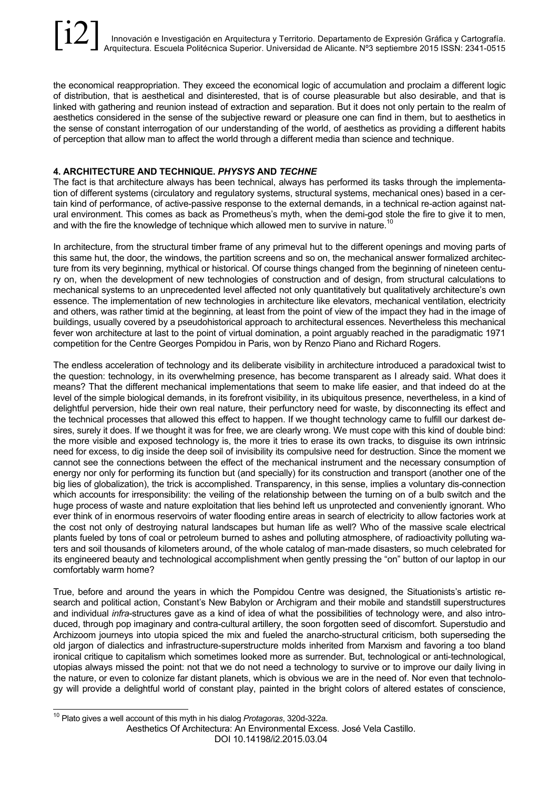the economical reappropriation. They exceed the economical logic of accumulation and proclaim a different logic of distribution, that is aesthetical and disinterested, that is of course pleasurable but also desirable, and that is linked with gathering and reunion instead of extraction and separation. But it does not only pertain to the realm of aesthetics considered in the sense of the subjective reward or pleasure one can find in them, but to aesthetics in the sense of constant interrogation of our understanding of the world, of aesthetics as providing a different habits of perception that allow man to affect the world through a different media than science and technique.

# **4. ARCHITECTURE AND TECHNIQUE.** *PHYSYS* **AND** *TECHNE*

The fact is that architecture always has been technical, always has performed its tasks through the implementation of different systems (circulatory and regulatory systems, structural systems, mechanical ones) based in a certain kind of performance, of active-passive response to the external demands, in a technical re-action against natural environment. This comes as back as Prometheus's myth, when the demi-god stole the fire to give it to men, and with the fire the knowledge of technique which allowed men to survive in nature.<sup>10</sup>

In architecture, from the structural timber frame of any primeval hut to the different openings and moving parts of this same hut, the door, the windows, the partition screens and so on, the mechanical answer formalized architecture from its very beginning, mythical or historical. Of course things changed from the beginning of nineteen century on, when the development of new technologies of construction and of design, from structural calculations to mechanical systems to an unprecedented level affected not only quantitatively but qualitatively architecture's own essence. The implementation of new technologies in architecture like elevators, mechanical ventilation, electricity and others, was rather timid at the beginning, at least from the point of view of the impact they had in the image of buildings, usually covered by a pseudohistorical approach to architectural essences. Nevertheless this mechanical fever won architecture at last to the point of virtual domination, a point arguably reached in the paradigmatic 1971 competition for the Centre Georges Pompidou in Paris, won by Renzo Piano and Richard Rogers.

The endless acceleration of technology and its deliberate visibility in architecture introduced a paradoxical twist to the question: technology, in its overwhelming presence, has become transparent as I already said. What does it means? That the different mechanical implementations that seem to make life easier, and that indeed do at the level of the simple biological demands, in its forefront visibility, in its ubiquitous presence, nevertheless, in a kind of delightful perversion, hide their own real nature, their perfunctory need for waste, by disconnecting its effect and the technical processes that allowed this effect to happen. If we thought technology came to fulfill our darkest desires, surely it does. If we thought it was for free, we are clearly wrong. We must cope with this kind of double bind: the more visible and exposed technology is, the more it tries to erase its own tracks, to disguise its own intrinsic need for excess, to dig inside the deep soil of invisibility its compulsive need for destruction. Since the moment we cannot see the connections between the effect of the mechanical instrument and the necessary consumption of energy nor only for performing its function but (and specially) for its construction and transport (another one of the big lies of globalization), the trick is accomplished. Transparency, in this sense, implies a voluntary dis-connection which accounts for irresponsibility: the veiling of the relationship between the turning on of a bulb switch and the huge process of waste and nature exploitation that lies behind left us unprotected and conveniently ignorant. Who ever think of in enormous reservoirs of water flooding entire areas in search of electricity to allow factories work at the cost not only of destroying natural landscapes but human life as well? Who of the massive scale electrical plants fueled by tons of coal or petroleum burned to ashes and polluting atmosphere, of radioactivity polluting waters and soil thousands of kilometers around, of the whole catalog of man-made disasters, so much celebrated for its engineered beauty and technological accomplishment when gently pressing the "on" button of our laptop in our comfortably warm home?

True, before and around the years in which the Pompidou Centre was designed, the Situationists's artistic research and political action, Constant's New Babylon or Archigram and their mobile and standstill superstructures and individual *infra*-structures gave as a kind of idea of what the possibilities of technology were, and also introduced, through pop imaginary and contra-cultural artillery, the soon forgotten seed of discomfort. Superstudio and Archizoom journeys into utopia spiced the mix and fueled the anarcho-structural criticism, both superseding the old jargon of dialectics and infrastructure-superstructure molds inherited from Marxism and favoring a too bland ironical critique to capitalism which sometimes looked more as surrender. But, technological or anti-technological, utopias always missed the point: not that we do not need a technology to survive or to improve our daily living in the nature, or even to colonize far distant planets, which is obvious we are in the need of. Nor even that technology will provide a delightful world of constant play, painted in the bright colors of altered estates of conscience,

Aesthetics Of Architectura: An Environmental Excess. José Vela Castillo.

DOI 10.14198/i2.2015.03.04

 <sup>10</sup> Plato gives a well account of this myth in his dialog *Protagoras*, 320d-322a.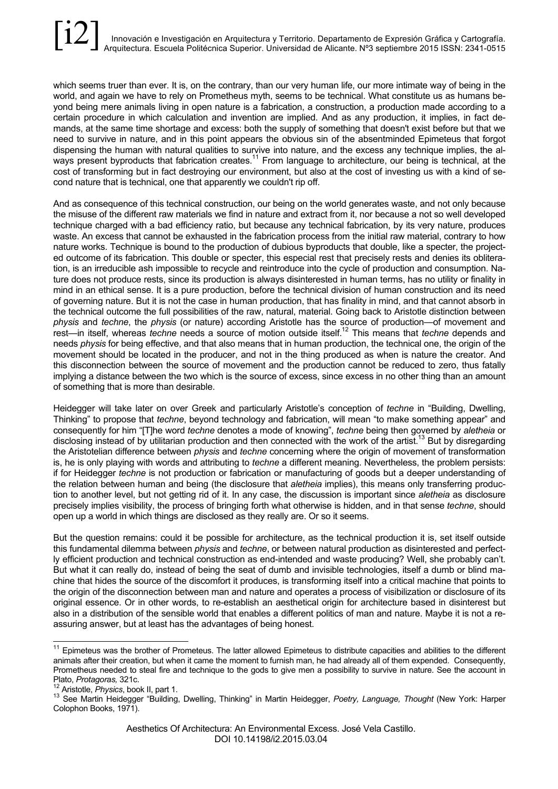which seems truer than ever. It is, on the contrary, than our very human life, our more intimate way of being in the world, and again we have to rely on Prometheus myth, seems to be technical. What constitute us as humans beyond being mere animals living in open nature is a fabrication, a construction, a production made according to a certain procedure in which calculation and invention are implied. And as any production, it implies, in fact demands, at the same time shortage and excess: both the supply of something that doesn't exist before but that we need to survive in nature, and in this point appears the obvious sin of the absentminded Epimeteus that forgot dispensing the human with natural qualities to survive into nature, and the excess any technique implies, the always present byproducts that fabrication creates.<sup>11</sup> From language to architecture, our being is technical, at the cost of transforming but in fact destroying our environment, but also at the cost of investing us with a kind of second nature that is technical, one that apparently we couldn't rip off.

And as consequence of this technical construction, our being on the world generates waste, and not only because the misuse of the different raw materials we find in nature and extract from it, nor because a not so well developed technique charged with a bad efficiency ratio, but because any technical fabrication, by its very nature, produces waste. An excess that cannot be exhausted in the fabrication process from the initial raw material, contrary to how nature works. Technique is bound to the production of dubious byproducts that double, like a specter, the projected outcome of its fabrication. This double or specter, this especial rest that precisely rests and denies its obliteration, is an irreducible ash impossible to recycle and reintroduce into the cycle of production and consumption. Nature does not produce rests, since its production is always disinterested in human terms, has no utility or finality in mind in an ethical sense. It is a pure production, before the technical division of human construction and its need of governing nature. But it is not the case in human production, that has finality in mind, and that cannot absorb in the technical outcome the full possibilities of the raw, natural, material. Going back to Aristotle distinction between *physis* and *techne*, the *physis* (or nature) according Aristotle has the source of production—of movement and rest—in itself, whereas *techne* needs a source of motion outside itself.12 This means that *techne* depends and needs *physis* for being effective, and that also means that in human production, the technical one, the origin of the movement should be located in the producer, and not in the thing produced as when is nature the creator. And this disconnection between the source of movement and the production cannot be reduced to zero, thus fatally implying a distance between the two which is the source of excess, since excess in no other thing than an amount of something that is more than desirable.

Heidegger will take later on over Greek and particularly Aristotle's conception of *techne* in "Building, Dwelling, Thinking" to propose that *techne*, beyond technology and fabrication, will mean "to make something appear" and consequently for him "[T]he word *techne* denotes a mode of knowing", *techne* being then governed by *aletheia* or disclosing instead of by utilitarian production and then connected with the work of the artist.<sup>13</sup> But by disregarding the Aristotelian difference between *physis* and *techne* concerning where the origin of movement of transformation is, he is only playing with words and attributing to *techne* a different meaning. Nevertheless, the problem persists: if for Heidegger *techne* is not production or fabrication or manufacturing of goods but a deeper understanding of the relation between human and being (the disclosure that *aletheia* implies), this means only transferring production to another level, but not getting rid of it. In any case, the discussion is important since *aletheia* as disclosure precisely implies visibility, the process of bringing forth what otherwise is hidden, and in that sense *techne*, should open up a world in which things are disclosed as they really are. Or so it seems.

But the question remains: could it be possible for architecture, as the technical production it is, set itself outside this fundamental dilemma between *physis* and *techne*, or between natural production as disinterested and perfectly efficient production and technical construction as end-intended and waste producing? Well, she probably can't. But what it can really do, instead of being the seat of dumb and invisible technologies, itself a dumb or blind machine that hides the source of the discomfort it produces, is transforming itself into a critical machine that points to the origin of the disconnection between man and nature and operates a process of visibilization or disclosure of its original essence. Or in other words, to re-establish an aesthetical origin for architecture based in disinterest but also in a distribution of the sensible world that enables a different politics of man and nature. Maybe it is not a reassuring answer, but at least has the advantages of being honest.

<sup>&</sup>lt;sup>11</sup> Epimeteus was the brother of Prometeus. The latter allowed Epimeteus to distribute capacities and abilities to the different animals after their creation, but when it came the moment to furnish man, he had already all of them expended. Consequently, Prometheus needed to steal fire and technique to the gods to give men a possibility to survive in nature. See the account in Plato, Protagoras, 321c.

<sup>&</sup>lt;sup>12</sup> Aristotle, *Physics*, book II, part 1.<br><sup>13</sup> See Martin Heidegger "Building, Dwelling, Thinking" in Martin Heidegger, *Poetry, Language, Thought* (New York: Harper Colophon Books, 1971).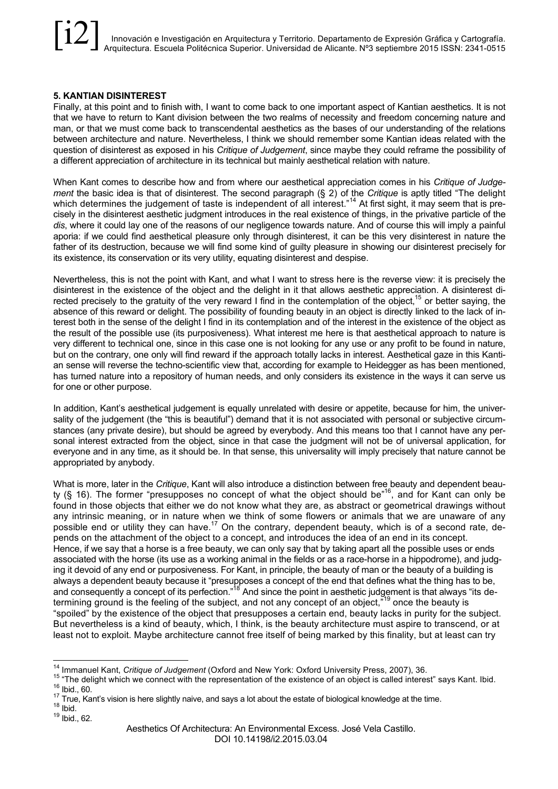## **5. KANTIAN DISINTEREST**

Finally, at this point and to finish with, I want to come back to one important aspect of Kantian aesthetics. It is not that we have to return to Kant division between the two realms of necessity and freedom concerning nature and man, or that we must come back to transcendental aesthetics as the bases of our understanding of the relations between architecture and nature. Nevertheless, I think we should remember some Kantian ideas related with the question of disinterest as exposed in his *Critique of Judgement*, since maybe they could reframe the possibility of a different appreciation of architecture in its technical but mainly aesthetical relation with nature.

When Kant comes to describe how and from where our aesthetical appreciation comes in his *Critique of Judgement* the basic idea is that of disinterest. The second paragraph (§ 2) of the *Critique* is aptly titled "The delight which determines the judgement of taste is independent of all interest."<sup>14</sup> At first sight, it may seem that is precisely in the disinterest aesthetic judgment introduces in the real existence of things, in the privative particle of the *dis*, where it could lay one of the reasons of our negligence towards nature. And of course this will imply a painful aporia: if we could find aesthetical pleasure only through disinterest, it can be this very disinterest in nature the father of its destruction, because we will find some kind of guilty pleasure in showing our disinterest precisely for its existence, its conservation or its very utility, equating disinterest and despise.

Nevertheless, this is not the point with Kant, and what I want to stress here is the reverse view: it is precisely the disinterest in the existence of the object and the delight in it that allows aesthetic appreciation. A disinterest directed precisely to the gratuity of the very reward I find in the contemplation of the object,<sup>15</sup> or better saying, the absence of this reward or delight. The possibility of founding beauty in an object is directly linked to the lack of interest both in the sense of the delight I find in its contemplation and of the interest in the existence of the object as the result of the possible use (its purposiveness). What interest me here is that aesthetical approach to nature is very different to technical one, since in this case one is not looking for any use or any profit to be found in nature, but on the contrary, one only will find reward if the approach totally lacks in interest. Aesthetical gaze in this Kantian sense will reverse the techno-scientific view that, according for example to Heidegger as has been mentioned, has turned nature into a repository of human needs, and only considers its existence in the ways it can serve us for one or other purpose.

In addition, Kant's aesthetical judgement is equally unrelated with desire or appetite, because for him, the universality of the judgement (the "this is beautiful") demand that it is not associated with personal or subjective circumstances (any private desire), but should be agreed by everybody. And this means too that I cannot have any personal interest extracted from the object, since in that case the judgment will not be of universal application, for everyone and in any time, as it should be. In that sense, this universality will imply precisely that nature cannot be appropriated by anybody.

What is more, later in the *Critique*, Kant will also introduce a distinction between free beauty and dependent beauty (§ 16). The former "presupposes no concept of what the object should be"<sup>16</sup>, and for Kant can only be found in those objects that either we do not know what they are, as abstract or geometrical drawings without any intrinsic meaning, or in nature when we think of some flowers or animals that we are unaware of any possible end or utility they can have.<sup>17</sup> On the contrary, dependent beauty, which is of a second rate, depends on the attachment of the object to a concept, and introduces the idea of an end in its concept. Hence, if we say that a horse is a free beauty, we can only say that by taking apart all the possible uses or ends associated with the horse (its use as a working animal in the fields or as a race-horse in a hippodrome), and judging it devoid of any end or purposiveness. For Kant, in principle, the beauty of man or the beauty of a building is always a dependent beauty because it "presupposes a concept of the end that defines what the thing has to be, and consequently a concept of its perfection."<sup>18</sup> And since the point in aesthetic judgement is that always "its determining ground is the feeling of the subject, and not any concept of an object,"<sup>19</sup> once the beauty is "spoiled" by the existence of the object that presupposes a certain end, beauty lacks in purity for the subject. But nevertheless is a kind of beauty, which, I think, is the beauty architecture must aspire to transcend, or at least not to exploit. Maybe architecture cannot free itself of being marked by this finality, but at least can try

- 
- 

<sup>&</sup>lt;sup>14</sup> Immanuel Kant, *Critique of Judgement* (Oxford and New York: Oxford University Press, 2007), 36.<br><sup>15</sup> "The delight which we connect with the representation of the existence of an object is called interest" says Kant.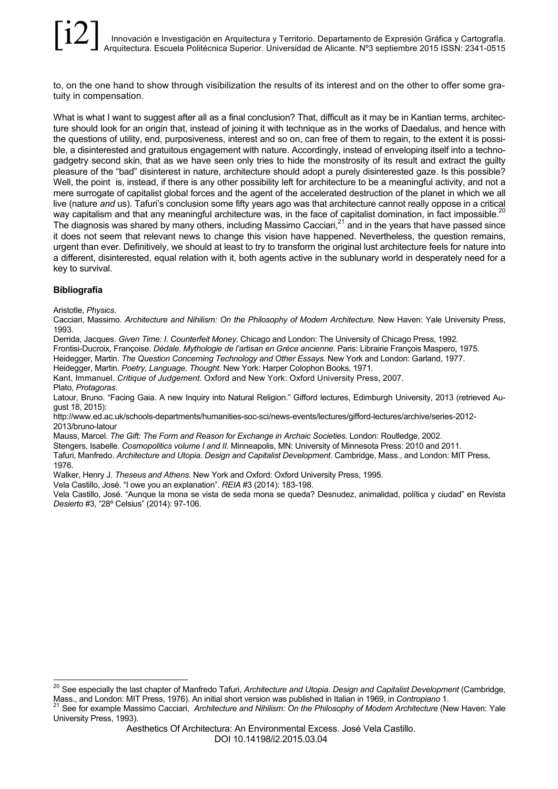to, on the one hand to show through visibilization the results of its interest and on the other to offer some gratuity in compensation.

What is what I want to suggest after all as a final conclusion? That, difficult as it may be in Kantian terms, architecture should look for an origin that, instead of joining it with technique as in the works of Daedalus, and hence with the questions of utility, end, purposiveness, interest and so on, can free of them to regain, to the extent it is possible, a disinterested and gratuitous engagement with nature. Accordingly, instead of enveloping itself into a technogadgetry second skin, that as we have seen only tries to hide the monstrosity of its result and extract the guilty pleasure of the "bad" disinterest in nature, architecture should adopt a purely disinterested gaze. Is this possible? Well, the point is, instead, if there is any other possibility left for architecture to be a meaningful activity, and not a mere surrogate of capitalist global forces and the agent of the accelerated destruction of the planet in which we all live (nature *and* us). Tafuri's conclusion some fifty years ago was that architecture cannot really oppose in a critical way capitalism and that any meaningful architecture was, in the face of capitalist domination, in fact impossible.<sup>20</sup> The diagnosis was shared by many others, including Massimo Cacciari, $^{21}$  and in the years that have passed since it does not seem that relevant news to change this vision have happened. Nevertheless, the question remains, urgent than ever. Definitively, we should at least to try to transform the original lust architecture feels for nature into a different, disinterested, equal relation with it, both agents active in the sublunary world in desperately need for a key to survival.

# **Bibliografía**

Aristotle, *Physics*.

Cacciari, Massimo. *Architecture and Nihilism: On the Philosophy of Modern Architecture*. New Haven: Yale University Press, 1993.

Derrida, Jacques. *Given Time: I. Counterfeit Money*. Chicago and London: The University of Chicago Press, 1992.

Frontisi-Ducroix, Françoise. *Dédale. Mythologie de l'artisan en Grèce ancienne*. Paris: Librairie François Maspero, 1975.

Heidegger, Martin. *The Question Concerning Technology and Other Essays.* New York and London: Garland, 1977.

Heidegger, Martin. *Poetry, Language, Thought.* New York: Harper Colophon Books, 1971.

Kant, Immanuel. *Critique of Judgement.* Oxford and New York: Oxford University Press, 2007.

Plato, *Protagoras*.

Latour, Bruno. "Facing Gaia. A new Inquiry into Natural Religion." Gifford lectures, Edimburgh University, 2013 (retrieved August 18, 2015):

http://www.ed.ac.uk/schools-departments/humanities-soc-sci/news-events/lectures/gifford-lectures/archive/series-2012- 2013/bruno-latour

Mauss, Marcel. *The Gift: The Form and Reason for Exchange in Archaic Societies*. London: Routledge, 2002.

Stengers, Isabelle. *Cosmopolitics volume I and II.* Minneapolis, MN: University of Minnesota Press: 2010 and 2011. Tafuri, Manfredo. *Architecture and Utopia. Design and Capitalist Development*. Cambridge, Mass., and London: MIT Press,

1976.

Walker, Henry J. *Theseus and Athens*. New York and Oxford: Oxford University Press, 1995.

Vela Castillo, José. "I owe you an explanation". *REIA* #3 (2014): 183-198.

Vela Castillo, José. "Aunque la mona se vista de seda mona se queda? Desnudez, animalidad, política y ciudad" en Revista *Desierto* #3, "28º Celsius" (2014): 97-106.

 <sup>20</sup> See especially the last chapter of Manfredo Tafuri, *Architecture and Utopia. Design and Capitalist Development* (Cambridge,

Mass., and London: MIT Press, 1976). An initial short version was published in Italian in 1969, in Contropiano 1.<br><sup>21</sup> See for example Massimo Cacciari, Architecture and Nihilism: On the Philosophy of Modern Architecture ( University Press, 1993).